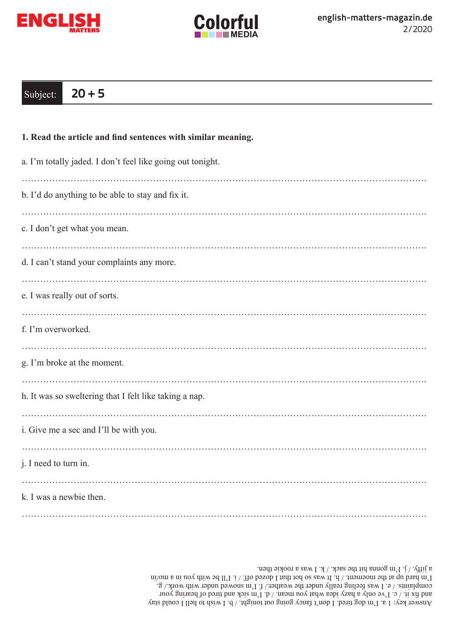



## Subject: **20 + 5**

| 1. Read the article and find sentences with similar meaning. |
|--------------------------------------------------------------|
| a. I'm totally jaded. I don't feel like going out tonight.   |
| b. I'd do anything to be able to stay and fix it.            |
| c. I don't get what you mean.                                |
| d. I can't stand your complaints any more.                   |
| e. I was really out of sorts.                                |
| f. I'm overworked.                                           |
| g. I'm broke at the moment.                                  |
| h. It was so sweltering that I felt like taking a nap.       |
| i. Give me a sec and I'll be with you.                       |
| j. I need to turn in.                                        |
| k. I was a newbie then.                                      |
|                                                              |

Answer key: 1 a. I'm gob tired. I don't fancy going out tonight. / b. I wish to hell I could stay and fix it. / c. I've only a hazy idea what you mean. / d. I'm sick and tired of hearing your complaints.  $\ell \in I$  was feeling really under the weather. T. I'm snowed under with work./ g.  $\min$  of the motion of  $\min$  of  $\min$  and  $\min$  is the moving up a moving model of  $\min$ a jifty. / j. I'm gonna hit the sack. / k. I was a rookie then.